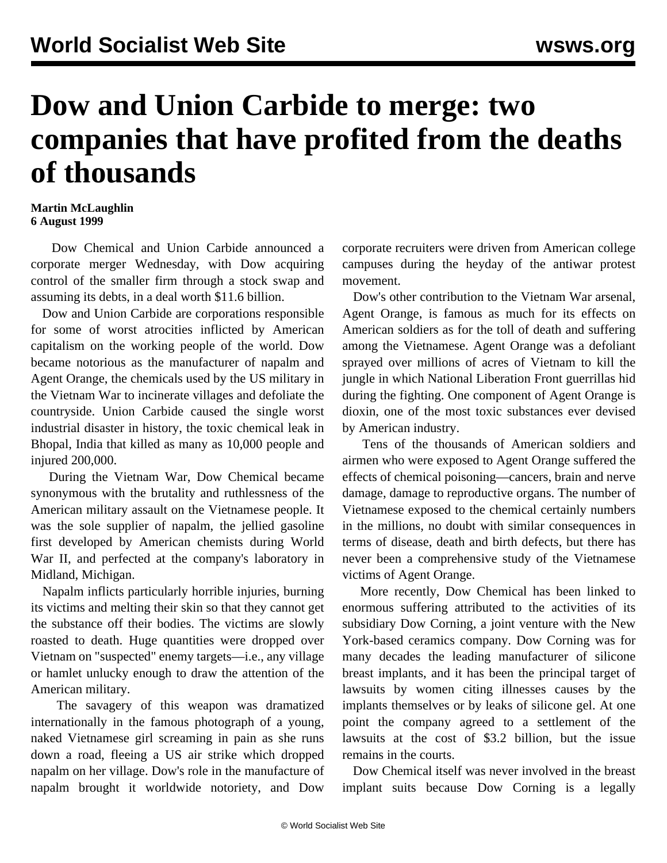## **Dow and Union Carbide to merge: two companies that have profited from the deaths of thousands**

## **Martin McLaughlin 6 August 1999**

 Dow Chemical and Union Carbide announced a corporate merger Wednesday, with Dow acquiring control of the smaller firm through a stock swap and assuming its debts, in a deal worth \$11.6 billion.

 Dow and Union Carbide are corporations responsible for some of worst atrocities inflicted by American capitalism on the working people of the world. Dow became notorious as the manufacturer of napalm and Agent Orange, the chemicals used by the US military in the Vietnam War to incinerate villages and defoliate the countryside. Union Carbide caused the single worst industrial disaster in history, the toxic chemical leak in Bhopal, India that killed as many as 10,000 people and injured 200,000.

 During the Vietnam War, Dow Chemical became synonymous with the brutality and ruthlessness of the American military assault on the Vietnamese people. It was the sole supplier of napalm, the jellied gasoline first developed by American chemists during World War II, and perfected at the company's laboratory in Midland, Michigan.

 Napalm inflicts particularly horrible injuries, burning its victims and melting their skin so that they cannot get the substance off their bodies. The victims are slowly roasted to death. Huge quantities were dropped over Vietnam on "suspected" enemy targets—i.e., any village or hamlet unlucky enough to draw the attention of the American military.

 The savagery of this weapon was dramatized internationally in the famous photograph of a young, naked Vietnamese girl screaming in pain as she runs down a road, fleeing a US air strike which dropped napalm on her village. Dow's role in the manufacture of napalm brought it worldwide notoriety, and Dow

corporate recruiters were driven from American college campuses during the heyday of the antiwar protest movement.

 Dow's other contribution to the Vietnam War arsenal, Agent Orange, is famous as much for its effects on American soldiers as for the toll of death and suffering among the Vietnamese. Agent Orange was a defoliant sprayed over millions of acres of Vietnam to kill the jungle in which National Liberation Front guerrillas hid during the fighting. One component of Agent Orange is dioxin, one of the most toxic substances ever devised by American industry.

 Tens of the thousands of American soldiers and airmen who were exposed to Agent Orange suffered the effects of chemical poisoning—cancers, brain and nerve damage, damage to reproductive organs. The number of Vietnamese exposed to the chemical certainly numbers in the millions, no doubt with similar consequences in terms of disease, death and birth defects, but there has never been a comprehensive study of the Vietnamese victims of Agent Orange.

 More recently, Dow Chemical has been linked to enormous suffering attributed to the activities of its subsidiary Dow Corning, a joint venture with the New York-based ceramics company. Dow Corning was for many decades the leading manufacturer of silicone breast implants, and it has been the principal target of lawsuits by women citing illnesses causes by the implants themselves or by leaks of silicone gel. At one point the company agreed to a settlement of the lawsuits at the cost of \$3.2 billion, but the issue remains in the courts.

 Dow Chemical itself was never involved in the breast implant suits because Dow Corning is a legally